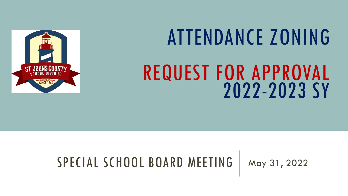

# ATTENDANCE ZONING REQUEST FOR APPROVAL

## SPECIAL SCHOOL BOARD MEETING | May 31, 2022

2022-2023 SY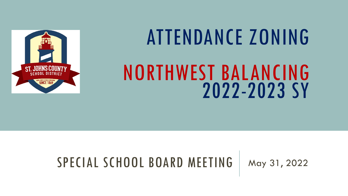

# ATTENDANCE ZONING

# NORTHWEST BALANCING 2022-2023 SY

## SPECIAL SCHOOL BOARD MEETING | May 31, 2022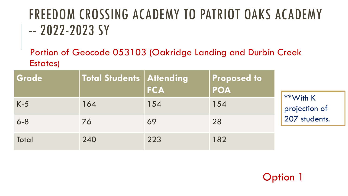# FREEDOM CROSSING ACADEMY TO PATRIOT OAKS ACADEMY -- 2022-2023 SY

Portion of Geocode 053103 (Oakridge Landing and Durbin Creek Estates)

| Grade   | Total Students   Attending | <b>FCA</b> | <b>Proposed to</b><br><b>POA</b> |                                                |
|---------|----------------------------|------------|----------------------------------|------------------------------------------------|
| $K-5$   | 164                        | 154        | 154                              | $4**$ With K<br>projection of<br>207 students. |
| $6 - 8$ | 76                         | 69         | 28                               |                                                |
| Total   | 240                        | 223        | 182                              |                                                |

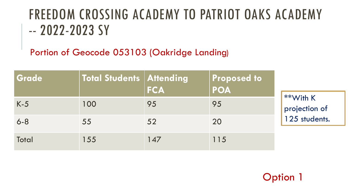# FREEDOM CROSSING ACADEMY TO PATRIOT OAKS ACADEMY -- 2022-2023 SY

Portion of Geocode 053103 (Oakridge Landing)

| Grade   | Total Students   Attending | <b>FCA</b> | <b>Proposed to</b><br><b>POA</b> |                                            |
|---------|----------------------------|------------|----------------------------------|--------------------------------------------|
| $K-5$   | 100                        | 95         | 95                               | **With K<br>projection of<br>125 students. |
| $6 - 8$ | 55                         | 52         | 20                               |                                            |
| Total   | 155                        | 147        | 115                              |                                            |

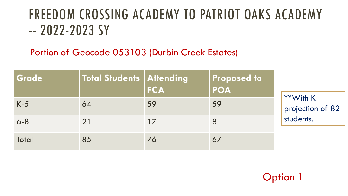# FREEDOM CROSSING ACADEMY TO PATRIOT OAKS ACADEMY -- 2022-2023 SY

Portion of Geocode 053103 (Durbin Creek Estates)

| <b>Grade</b> | Total Students   Attending | <b>FCA</b> | <b>Proposed to</b><br><b>POA</b> |                                  |
|--------------|----------------------------|------------|----------------------------------|----------------------------------|
| $K-5$        | 64                         | 59         | 59                               | $4**$ With K<br>projection of 82 |
| $6 - 8$      | <b>21</b>                  | 17         | 8                                |                                  |
| <b>Total</b> | 85                         | 76         | 67                               |                                  |

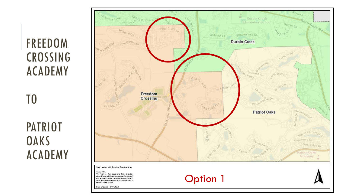# FREEDOM CROSSING ACADEMY

PATRIOT **OAKS** ACADEMY

TO

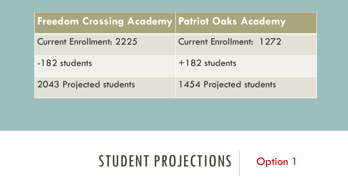| <b>Freedom Crossing Academy Patriot Oaks Academy</b> |                          |
|------------------------------------------------------|--------------------------|
| <b>Current Enrollment: 2225</b>                      | Current Enrollment: 1272 |
| -182 students                                        | $+182$ students          |
| 2043 Projected students                              | 1454 Projected students  |

# STUDENT PROJECTIONS | Option 1

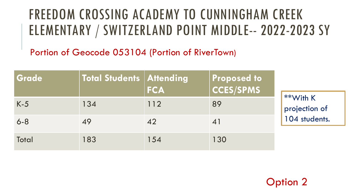# FREEDOM CROSSING ACADEMY TO CUNNINGHAM CREEK ELEMENTARY / SWITZERLAND POINT MIDDLE-- 2022-2023 SY

Portion of Geocode 053104 (Portion of RiverTown)

| Grade        | <b>Total Students Attending</b> | <b>FCA</b> | <b>Proposed to</b><br>$ cc$ ES/SPMS |                                            |
|--------------|---------------------------------|------------|-------------------------------------|--------------------------------------------|
| $K-5$        | 134                             | 112        | 89                                  | **With K<br>projection of<br>104 students. |
| $6 - 8$      |                                 | 42         | $\mathbf{4}$                        |                                            |
| <b>Total</b> | 183                             | 154        | 130                                 |                                            |

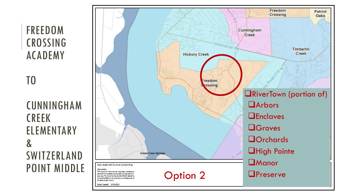### FREEDOM CROSSING ACADEMY

TO

### CUNNINGHAM CREEK ELEMENTARY  $\mathbf{g}$ SWITZERLAND POINT MIDDLE

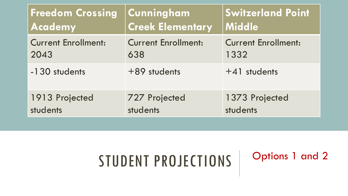| <b>Freedom Crossing</b>    | Cunningham                 | <b>Switzerland Point</b>   |
|----------------------------|----------------------------|----------------------------|
| <b>Academy</b>             | <b>Creek Elementary</b>    | Middle                     |
| <b>Current Enrollment:</b> | <b>Current Enrollment:</b> | <b>Current Enrollment:</b> |
| 2043                       | 638                        | 1332                       |
| -130 students              | +89 students               | +41 students               |
| 1913 Projected             | <b>727 Projected</b>       | 1373 Projected             |
| students                   | students                   | students                   |

Options 1 and 2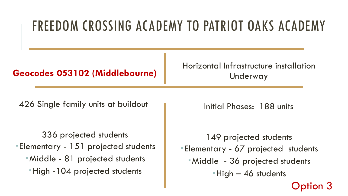# FREEDOM CROSSING ACADEMY TO PATRIOT OAKS ACADEMY

#### **Geocodes 053102 (Middlebourne)**

Horizontal Infrastructure installation Underway

426 Single family units at buildout

336 projected students Elementary - 151 projected students Middle - 81 projected students High -104 projected students

Initial Phases: 188 units

149 projected students Elementary - 67 projected students Middle - 36 projected students High – 46 students Option 3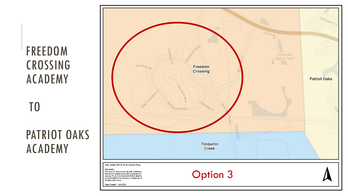### FREEDOM CROSSING ACADEMY

TO

PATRIOT OAKS ACADEMY

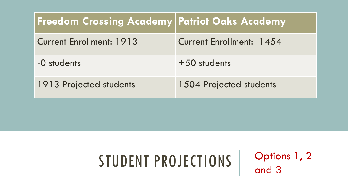| <b>Freedom Crossing Academy Patriot Oaks Academy</b> |                          |
|------------------------------------------------------|--------------------------|
| <b>Current Enrollment: 1913</b>                      | Current Enrollment: 1454 |
| -0 students                                          | $+50$ students           |
| 1913 Projected students                              | 1504 Projected students  |

Options 1, 2 and 3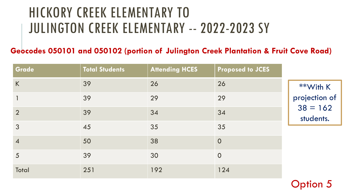# HICKORY CREEK ELEMENTARY TO JULINGTON CREEK ELEMENTARY -- 2022-2023 SY

#### **Geocodes 050101 and 050102 (portion of Julington Creek Plantation & Fruit Cove Road)**

| Grade          | <b>Total Students</b> | <b>Attending HCES</b> | <b>Proposed to JCES</b> |                         |
|----------------|-----------------------|-----------------------|-------------------------|-------------------------|
| $\sf K$        | 39                    | 26                    | 26                      | **With K                |
| 1              | 39                    | 29                    | 29                      | projection of           |
| $\overline{2}$ | 39                    | 34                    | 34                      | $38 = 162$<br>students. |
| 3              | 45                    | 35                    | 35                      |                         |
| $\overline{4}$ | 50                    | 38                    | $\overline{0}$          |                         |
| 5              | 39                    | 30                    | $\overline{0}$          |                         |
| Total          | 251                   | 192                   | 124                     |                         |

Option 5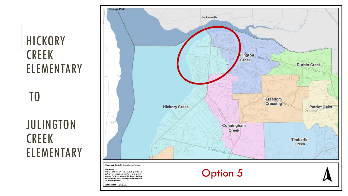# **HICKORY** CREEK ELEMENTARY

TO

### JULINGTON CREEK ELEMENTARY



Option 5

Map dealed with St. Johns County's iMap

**DECULAIRE** 

This mapis for ide electric only Data provided are derheid hom multiple sources when using levels of<br>sources, the St Jon & Country GIS Division also bins all respond plitty for the about dely or completeness of Decisional recor.

Date Created: 3/10/2022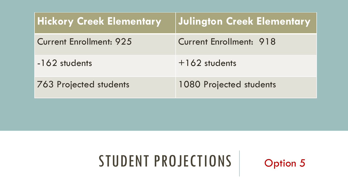| <b>Hickory Creek Elementary</b> | Julington Creek Elementary     |
|---------------------------------|--------------------------------|
| <b>Current Enrollment: 925</b>  | <b>Current Enrollment: 918</b> |
| -162 students                   | $+162$ students                |
| <b>763 Projected students</b>   | <b>1080 Projected students</b> |

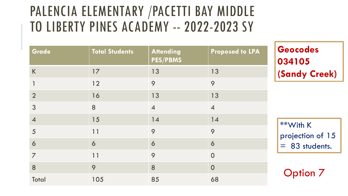# PALENCIA ELEMENTARY /PACETTI BAY MIDDLE TO LIBERTY PINES ACADEMY -- 2022-2023 SY

| Grade          | <b>Total Students</b> | <b>Attending</b><br><b>PES/PBMS</b> | <b>Proposed to LPA</b> |
|----------------|-----------------------|-------------------------------------|------------------------|
| K              | 17                    | 13                                  | 13                     |
| 1              | 12                    | 9                                   | 9                      |
| $\overline{2}$ | 16                    | 13                                  | 13                     |
| 3              | 8                     | $\overline{4}$                      | $\overline{4}$         |
| $\overline{4}$ | 15                    | 14                                  | 14                     |
| 5              | 11                    | 9                                   | 9                      |
| 6              | 6                     | 6                                   | 6                      |
| $\overline{7}$ | 11                    | 9                                   | $\overline{0}$         |
| 8              | 9                     | 8                                   | $\overline{0}$         |
| Total          | 105                   | 85                                  | 68                     |

**Geocodes 034105 (Sandy Creek)**

\*\*With K projection of 15 = 83 students.

Option 7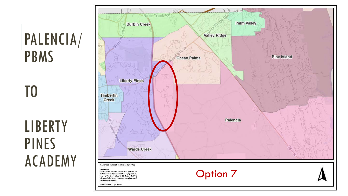# PALENCIA/ PBMS

TO

**LIBERTY** PINES ACADEMY

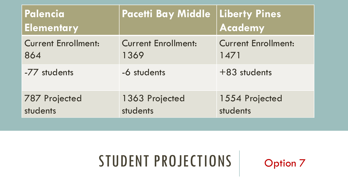| Palencia<br><b>Elementary</b> | <b>Pacetti Bay Middle Liberty Pines</b> | Academy                    |
|-------------------------------|-----------------------------------------|----------------------------|
| <b>Current Enrollment:</b>    | <b>Current Enrollment:</b>              | <b>Current Enrollment:</b> |
| 864                           | 1369                                    | 1471                       |
| -77 students                  | -6 students                             | +83 students               |
| <b>787 Projected</b>          | 1363 Projected                          | 1554 Projected             |
| students                      | students                                | students                   |

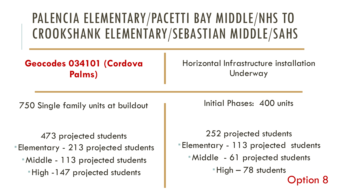# PALENCIA ELEMENTARY/PACETTI BAY MIDDLE/NHS TO CROOKSHANK ELEMENTARY/SEBASTIAN MIDDLE/SAHS

**Geocodes 034101 (Cordova Palms)**

Horizontal Infrastructure installation Underway

750 Single family units at buildout

473 projected students Elementary - 213 projected students Middle - 113 projected students High -147 projected students

Initial Phases: 400 units

252 projected students Elementary - 113 projected students Middle - 61 projected students High – 78 students Option 8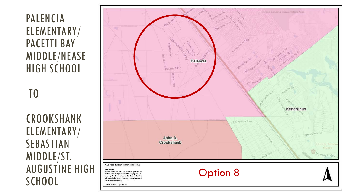### PALENCIA ELEMENTARY/ PACETTI BAY MIDDLE/NEASE HIGH SCHOOL

TO

CROOKSHANK ELEMENTARY/ SEBASTIAN MIDDLE/ST. AUGUSTINE HIGH

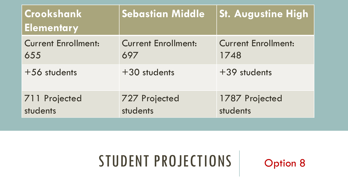| Crookshank<br><b>Elementary</b> | <b>Sebastian Middle</b>    | <b>St. Augustine High</b>  |
|---------------------------------|----------------------------|----------------------------|
| <b>Current Enrollment:</b>      | <b>Current Enrollment:</b> | <b>Current Enrollment:</b> |
| 655                             | 697                        | 1748                       |
| +56 students                    | +30 students               | +39 students               |
| 711 Projected                   | <b>727 Projected</b>       | 1787 Projected             |
| students                        | students                   | students                   |

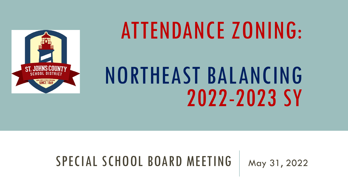

# ATTENDANCE ZONING:

# NORTHEAST BALANCING 2022-2023 SY

### SPECIAL SCHOOL BOARD MEETING | May 31, 2022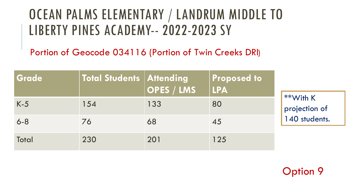## OCEAN PALMS ELEMENTARY / LANDRUM MIDDLE TO LIBERTY PINES ACADEMY-- 2022-2023 SY

Portion of Geocode 034116 (Portion of Twin Creeks DRI)

| Grade        | <b>Total Students Attending</b> | OPES / LMS | Proposed to<br><b>LPA</b> | $4**$ With K<br>projection of |
|--------------|---------------------------------|------------|---------------------------|-------------------------------|
| $K-5$        | 154                             | 133        | 80                        |                               |
| $6 - 8$      | 76                              | 68         | 45                        | 140 students.                 |
| <b>Total</b> | 230                             | 201        | 125                       |                               |

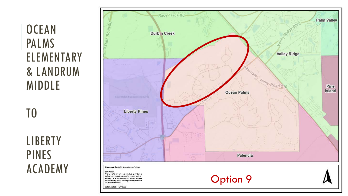### **OCEAN** PALMS ELEMENTARY & LANDRUM MIDDLE

TO

**LIBERTY** PINES ACADEMY